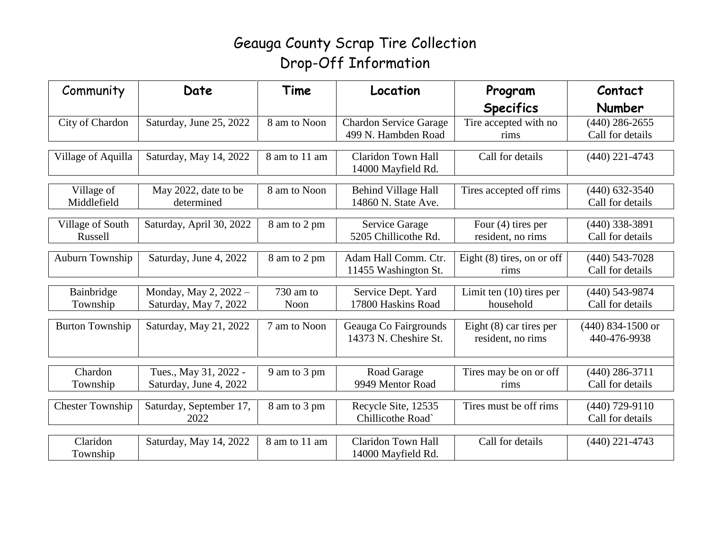## Geauga County Scrap Tire Collection Drop-Off Information

| Community                   | Date                     | Time          | Location                                      | Program                                   | Contact                              |
|-----------------------------|--------------------------|---------------|-----------------------------------------------|-------------------------------------------|--------------------------------------|
|                             |                          |               |                                               | <b>Specifics</b>                          | <b>Number</b>                        |
| City of Chardon             | Saturday, June 25, 2022  | 8 am to Noon  | <b>Chardon Service Garage</b>                 | Tire accepted with no                     | $(440)$ 286-2655                     |
|                             |                          |               | 499 N. Hambden Road                           | rims                                      | Call for details                     |
| Village of Aquilla          | Saturday, May 14, 2022   | 8 am to 11 am | <b>Claridon Town Hall</b>                     | Call for details                          | $(440)$ 221-4743                     |
|                             |                          |               | 14000 Mayfield Rd.                            |                                           |                                      |
| Village of                  | May 2022, date to be     | 8 am to Noon  | Behind Village Hall                           | Tires accepted off rims                   | $(440)$ 632-3540                     |
| Middlefield                 | determined               |               | 14860 N. State Ave.                           |                                           | Call for details                     |
|                             |                          |               |                                               |                                           |                                      |
| Village of South<br>Russell | Saturday, April 30, 2022 | 8 am to 2 pm  | <b>Service Garage</b><br>5205 Chillicothe Rd. | Four $(4)$ tires per<br>resident, no rims | $(440)$ 338-3891<br>Call for details |
|                             |                          |               |                                               |                                           |                                      |
| Auburn Township             | Saturday, June 4, 2022   | 8 am to 2 pm  | Adam Hall Comm. Ctr.                          | Eight $(8)$ tires, on or off              | $(440)$ 543-7028                     |
|                             |                          |               | 11455 Washington St.                          | rims                                      | Call for details                     |
| Bainbridge                  | Monday, May 2, 2022 -    | 730 am to     | Service Dept. Yard                            | Limit ten $(10)$ tires per                | $(440)$ 543-9874                     |
| Township                    | Saturday, May 7, 2022    | Noon          | 17800 Haskins Road                            | household                                 | Call for details                     |
| <b>Burton Township</b>      | Saturday, May 21, 2022   | 7 am to Noon  | Geauga Co Fairgrounds                         | Eight $(8)$ car tires per                 | $(440)$ 834-1500 or                  |
|                             |                          |               | 14373 N. Cheshire St.                         | resident, no rims                         | 440-476-9938                         |
|                             |                          |               |                                               |                                           |                                      |
| Chardon                     | Tues., May 31, 2022 -    | 9 am to 3 pm  | Road Garage                                   | Tires may be on or off                    | $(440)$ 286-3711                     |
| Township                    | Saturday, June 4, 2022   |               | 9949 Mentor Road                              | rims                                      | Call for details                     |
|                             |                          |               |                                               |                                           |                                      |
| <b>Chester Township</b>     | Saturday, September 17,  | 8 am to 3 pm  | Recycle Site, 12535                           | Tires must be off rims                    | $(440)$ 729-9110                     |
|                             | 2022                     |               | Chillicothe Road`                             |                                           | Call for details                     |
| Claridon                    |                          | 8 am to 11 am | <b>Claridon Town Hall</b>                     | Call for details                          |                                      |
| Township                    | Saturday, May 14, 2022   |               | 14000 Mayfield Rd.                            |                                           | $(440)$ 221-4743                     |
|                             |                          |               |                                               |                                           |                                      |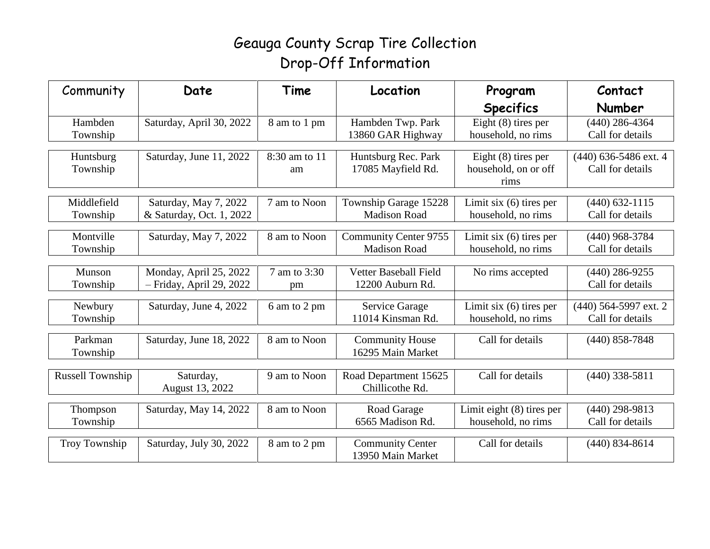## Geauga County Scrap Tire Collection Drop-Off Information

| Community               | Date                       | Time          | Location                     | Program                                       | Contact                                     |
|-------------------------|----------------------------|---------------|------------------------------|-----------------------------------------------|---------------------------------------------|
|                         |                            |               |                              | <b>Specifics</b>                              | <b>Number</b>                               |
| Hambden                 | Saturday, April 30, 2022   | 8 am to 1 pm  | Hambden Twp. Park            | Eight $(8)$ tires per                         | $(440)$ 286-4364                            |
| Township                |                            |               | 13860 GAR Highway            | household, no rims                            | Call for details                            |
|                         |                            |               |                              |                                               |                                             |
| Huntsburg               | Saturday, June 11, 2022    | 8:30 am to 11 | Huntsburg Rec. Park          | Eight $(8)$ tires per<br>household, on or off | $(440)$ 636-5486 ext. 4<br>Call for details |
| Township                |                            | am            | 17085 Mayfield Rd.           | rims                                          |                                             |
|                         |                            |               |                              |                                               |                                             |
| Middlefield             | Saturday, May 7, 2022      | 7 am to Noon  | Township Garage 15228        | Limit six $(6)$ tires per                     | $(440) 632 - 1115$                          |
| Township                | & Saturday, Oct. 1, 2022   |               | <b>Madison Road</b>          | household, no rims                            | Call for details                            |
| Montville               | Saturday, May 7, 2022      | 8 am to Noon  | <b>Community Center 9755</b> | Limit six $(6)$ tires per                     | $(440)$ 968-3784                            |
| Township                |                            |               | <b>Madison Road</b>          | household, no rims                            | Call for details                            |
|                         |                            |               |                              |                                               |                                             |
| Munson                  | Monday, April 25, 2022     | 7 am to 3:30  | Vetter Baseball Field        | No rims accepted                              | $(440)$ 286-9255                            |
| Township                | $-$ Friday, April 29, 2022 | pm            | 12200 Auburn Rd.             |                                               | Call for details                            |
|                         |                            |               |                              |                                               |                                             |
| Newbury                 | Saturday, June 4, 2022     | 6 am to 2 pm  | Service Garage               | Limit six (6) tires per                       | (440) 564-5997 ext. 2                       |
| Township                |                            |               | 11014 Kinsman Rd.            | household, no rims                            | Call for details                            |
| Parkman                 | Saturday, June 18, 2022    | 8 am to Noon  | <b>Community House</b>       | Call for details                              | $(440)$ 858-7848                            |
| Township                |                            |               | 16295 Main Market            |                                               |                                             |
|                         |                            |               |                              |                                               |                                             |
| <b>Russell Township</b> | Saturday,                  | 9 am to Noon  | Road Department 15625        | Call for details                              | $(440)$ 338-5811                            |
|                         | August 13, 2022            |               | Chillicothe Rd.              |                                               |                                             |
|                         | Saturday, May 14, 2022     | 8 am to Noon  | Road Garage                  | Limit eight $(8)$ tires per                   | $(440)$ 298-9813                            |
| Thompson                |                            |               | 6565 Madison Rd.             | household, no rims                            | Call for details                            |
| Township                |                            |               |                              |                                               |                                             |
| Troy Township           | Saturday, July 30, 2022    | 8 am to 2 pm  | <b>Community Center</b>      | Call for details                              | $(440)$ 834-8614                            |
|                         |                            |               | 13950 Main Market            |                                               |                                             |